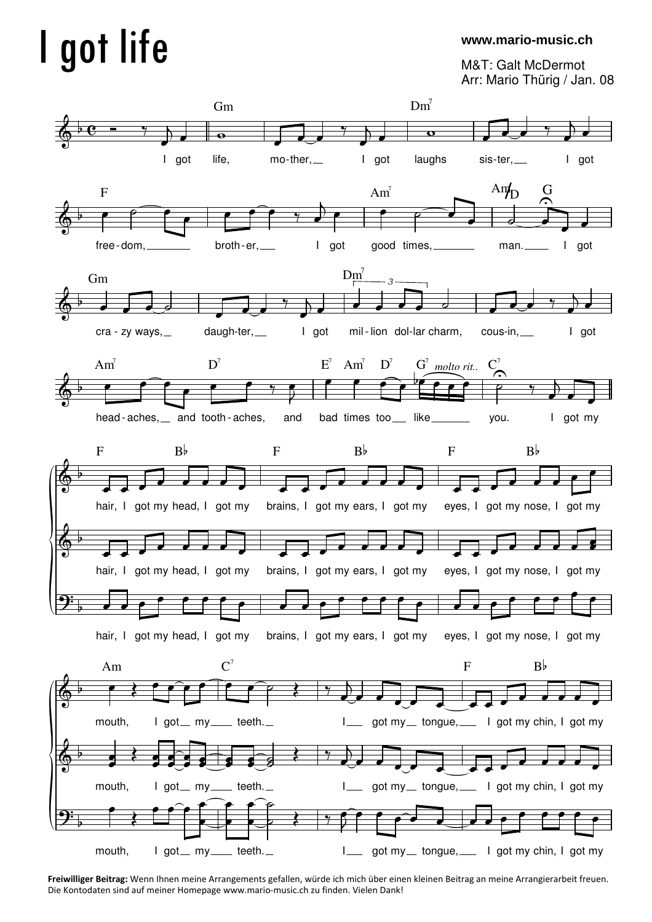## **www.mario-music.ch**

M&T: Galt McDermot Arr: Mario Thürig / Jan. 08



**Freiwilliger Beitrag:** Wenn Ihnen meine Arrangements gefallen, würde ich mich über einen kleinen Beitrag an meine Arrangierarbeit freuen. Die Kontodaten sind auf meiner Homepage www.mario-music.ch zu finden. Vielen Dank!

## I got life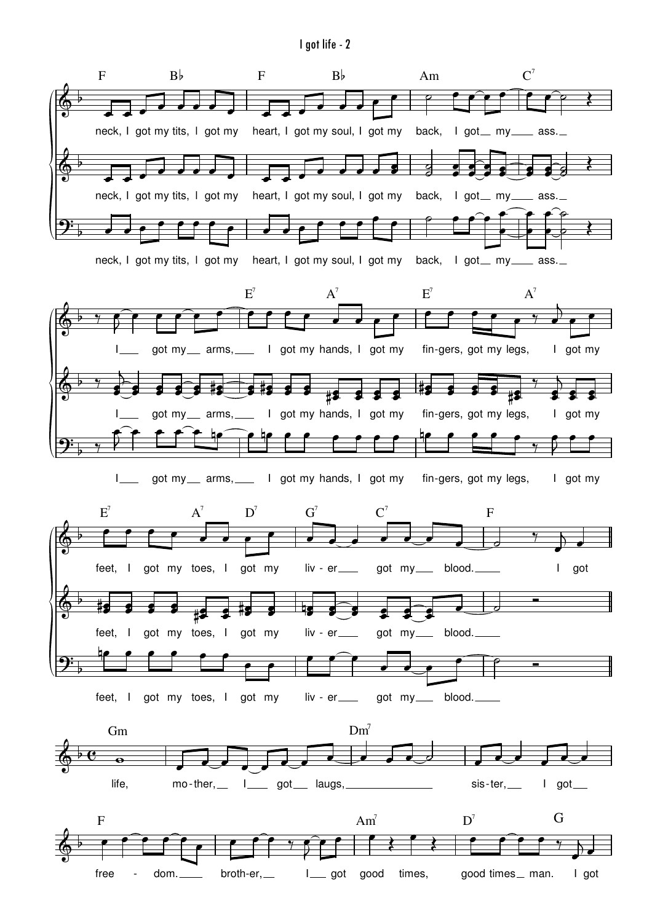I got life - 2

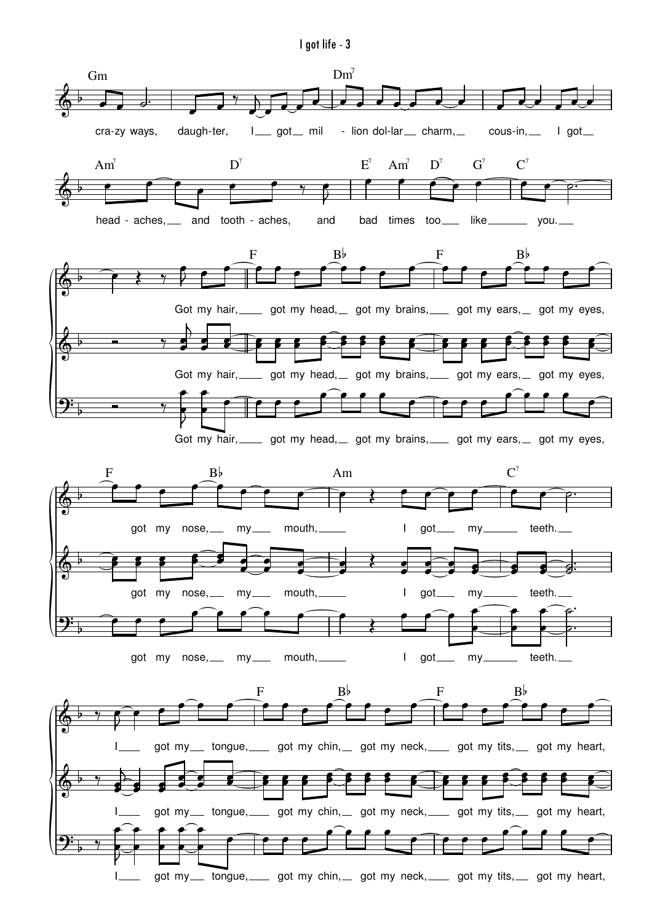I got life - 3